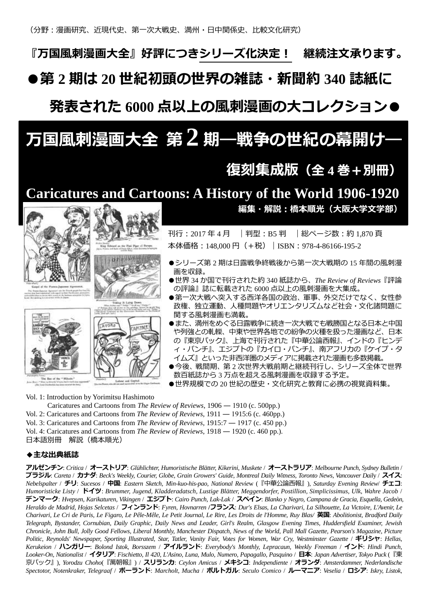『万国風刺漫画大全』好評につきシリーズ化決定! 継続注文承ります。

●第 **2** 期は **20** 世紀初頭の世界の雑誌・新聞約 **340** 誌紙に

発表された **6000** 点以上の風刺漫画の大コレクション●

# 万国風刺漫画大全 <sup>第</sup> **2** 期―戦争の世紀の幕開け―

# 復刻集成版(全 **4** 巻+別冊)

## **Caricatures and Cartoons: A History of the World 1906-1920**





APITALE



編集・解説:橋本順光(大阪大学文学部)

刊行: 2017 年 4 月 | 判型: B5 判 | 総ページ数: 約 1,870 頁 本体価格: 148,000円 (+税) | ISBN: 978-4-86166-195-2

- ●シリーズ第2期は日露戦争終戦後から第一次大戦期の15年間の風刺漫 画を収録。
- ●世界 34 か国で刊行された約 340 紙誌から、*The Review of Reviews*『評論 の評論』誌に転載された 6000 点以上の風刺漫画を大集成。
- ●第一次大戦へ突入する西洋各国の政治、軍事、外交だけでなく、女性参 政権、独立運動、人種問題やオリエンタリズムなど社会・文化諸問題に 関する風刺漫画も満載。
- ●また、満州をめぐる日露戦争に続き一次大戦でも戦勝国となる日本と中国 や列強との軋轢、中東や世界各地での紛争の火種を扱った漫画など、日本 の『東京パック』、上海で刊行された『中華公論西報』、インドの『ヒンデ ィ・パンチ』、エジプトの『カイロ・パンチ』、南アフリカの『ケイプ・タ イムズ』といった非西洋圏のメディアに掲載された漫画も多数掲載。
- ●今後、戦間期、第2次世界大戦前期と継続刊行し、シリーズ全体で世界 数百紙誌から 3 万点を超える風刺漫画を収録する予定。
- ●世界規模での 20世紀の歴史・文化研究と教育に必携の視覚資料集。

Vol. 1: Introduction by Yorimitsu Hashimoto

Caricatures and Cartoons from *The Review of Reviews*, 1906 ― 1910 (c. 500pp.)

- Vol. 2: Caricatures and Cartoons from *The Review of Reviews*, 1911 ― 1915:6 (c. 460pp.)
- Vol. 3: Caricatures and Cartoons from *The Review of Reviews*, 1915:7 ― 1917 (c. 450 pp.)

Vol. 4: Caricatures and Cartoons from *The Review of Reviews*, 1918 ― 1920 (c. 460 pp.).

日本語別冊 解説(橋本順光)

## ◆主な出典紙誌

アルゼンチン: *Critica* / オーストリア: *Glühlichter, Humoristische Blätter, Kikerini, Muskete* / オーストラリア: *Melbourne Punch, Sydney Bulletin* / ブラジル: *Careta* / カナダ: *Beck's Weekly, Courier, Globe, Grain Growers' Guide, Montreal Daily Witness, Toronto News, Vancouver Dail*y / スイス: *Nebelspalter* / チリ: *Sucesos* / 中国: *Eastern Sketch, Min-kuo-his-pao, National Revie*w (『中華公論西報』), *Saturday Evening Review*/ チェコ: *Humoristicke Listy* / ドイツ: *Brummer, Jugend, Kladderadatsch, Lustige Blätter, Meggendorfer, Postillion, Simplicissimus, Ulk, Wahre Jacob* / デンマーク: *Hvepsen, Karikaturen, Vikingen* / エジプト: *Cairo Punch, Lak-Lak* / スペイン: *Blanko y Negro, Campana de Gracia, Esquella, Gedeòn, Heraldo de Madrid, Hojas Selcetas* / フィンランド: *Fyren, Hovnarren* **/**フランス: *Dur's Elsas, La Charivari, La Silhouette, La Victoire, L'Avenir, Le Charivari, Le Cri de Paris, Le Figaro, Le Pêle-Mêle, Le Petit Journal, Le Rire, Les Droits de l'Homme, Ruy Blas/* 英国: *Abolitionist, Bradford Daily Telegraph, Bystander, Cornubian, Daily Graphic, Daily News and Leader, Girl's Realm, Glasgow Evening Times, Huddersfield Examiner, Jewish Chronicle, John Bull, Jolly Good Fellows, Liberal Monthly, Manchester Dispatch, News of the World, Pall Mall Gazette, Pearson's Magazine, Picture Politic, Reynolds' Newspaper, Sporting Illustrated, Star, Tatler, Vanity Fair, Votes for Women, War Cry, Westminster Gazette* / ギリシャ: *Hellas, Kerukeion* / ハンガリー: *Bolond Istok, Borsszem* / アイルランド: *Everybody's Monthly, Lepracaun, Weekly Freeman* / インド: *Hindi Punch, Looker-On, Nationalist* / イタリア: *Fischietto, Il 420, L'Asino, Luna, Mulo, Numero, Papagallo, Pasquino* / 日本: *Japan Advertiser*, *Tokyo Puck* (『東 京パック』), *Yorodzu Choho*(『萬朝報』) / スリランカ: *Ceylon Amicus* / メキシコ: *Independiente* / オランダ: *Amsterdammer, Nederlandische Spectotor, Notenkraker, Telegraaf* / ポーランド: *Marcholt, Mucha* / ポルトガル: *Seculo Comico* / ルーマニア: *Veselia* / ロシア: *Iskry, Listok,*